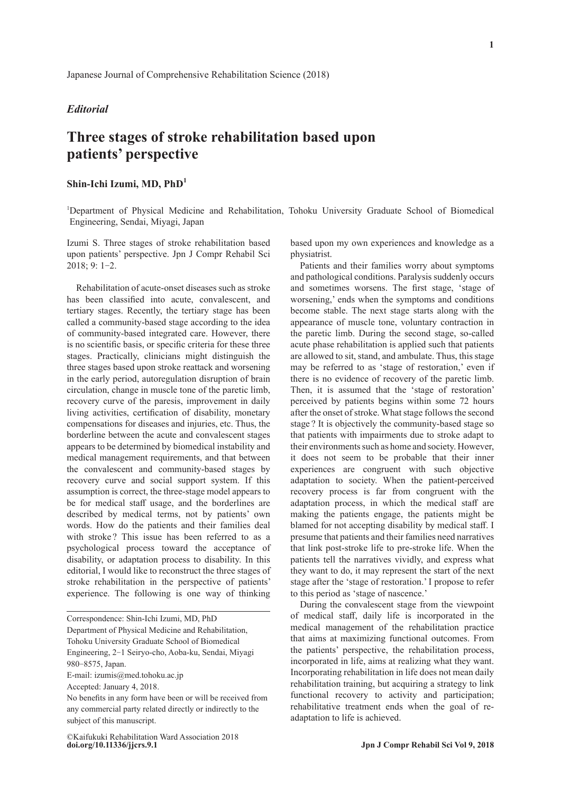## *Editorial*

## **Three stages of stroke rehabilitation based upon patients' perspective**

## **Shin-Ichi Izumi, MD, PhD<sup>1</sup>**

1 Department of Physical Medicine and Rehabilitation, Tohoku University Graduate School of Biomedical Engineering, Sendai, Miyagi, Japan

Izumi S. Three stages of stroke rehabilitation based upon patients' perspective. Jpn J Compr Rehabil Sci 2018; 9: 1-2.

Rehabilitation of acute-onset diseases such as stroke has been classified into acute, convalescent, and tertiary stages. Recently, the tertiary stage has been called a community-based stage according to the idea of community-based integrated care. However, there is no scientific basis, or specific criteria for these three stages. Practically, clinicians might distinguish the three stages based upon stroke reattack and worsening in the early period, autoregulation disruption of brain circulation, change in muscle tone of the paretic limb, recovery curve of the paresis, improvement in daily living activities, certification of disability, monetary compensations for diseases and injuries, etc. Thus, the borderline between the acute and convalescent stages appears to be determined by biomedical instability and medical management requirements, and that between the convalescent and community-based stages by recovery curve and social support system. If this assumption is correct, the three-stage model appears to be for medical staff usage, and the borderlines are described by medical terms, not by patients' own words. How do the patients and their families deal with stroke ? This issue has been referred to as a psychological process toward the acceptance of disability, or adaptation process to disability. In this editorial, I would like to reconstruct the three stages of stroke rehabilitation in the perspective of patients' experience. The following is one way of thinking

Correspondence: Shin-Ichi Izumi, MD, PhD Department of Physical Medicine and Rehabilitation, Tohoku University Graduate School of Biomedical Engineering, 2‐1 Seiryo-cho, Aoba-ku, Sendai, Miyagi 980‐8575, Japan.

E-mail: izumis@med.tohoku.ac.jp

Accepted: January 4, 2018.

based upon my own experiences and knowledge as a physiatrist.

Patients and their families worry about symptoms and pathological conditions. Paralysis suddenly occurs and sometimes worsens. The first stage, 'stage of worsening,' ends when the symptoms and conditions become stable. The next stage starts along with the appearance of muscle tone, voluntary contraction in the paretic limb. During the second stage, so-called acute phase rehabilitation is applied such that patients are allowed to sit, stand, and ambulate. Thus, this stage may be referred to as 'stage of restoration,' even if there is no evidence of recovery of the paretic limb. Then, it is assumed that the 'stage of restoration' perceived by patients begins within some 72 hours after the onset of stroke. What stage follows the second stage ? It is objectively the community-based stage so that patients with impairments due to stroke adapt to their environments such as home and society. However, it does not seem to be probable that their inner experiences are congruent with such objective adaptation to society. When the patient-perceived recovery process is far from congruent with the adaptation process, in which the medical staff are making the patients engage, the patients might be blamed for not accepting disability by medical staff. I presume that patients and their families need narratives that link post-stroke life to pre-stroke life. When the patients tell the narratives vividly, and express what they want to do, it may represent the start of the next stage after the 'stage of restoration.' I propose to refer to this period as 'stage of nascence.'

During the convalescent stage from the viewpoint of medical staff, daily life is incorporated in the medical management of the rehabilitation practice that aims at maximizing functional outcomes. From the patients' perspective, the rehabilitation process, incorporated in life, aims at realizing what they want. Incorporating rehabilitation in life does not mean daily rehabilitation training, but acquiring a strategy to link functional recovery to activity and participation; rehabilitative treatment ends when the goal of readaptation to life is achieved.

No benefits in any form have been or will be received from any commercial party related directly or indirectly to the subject of this manuscript.